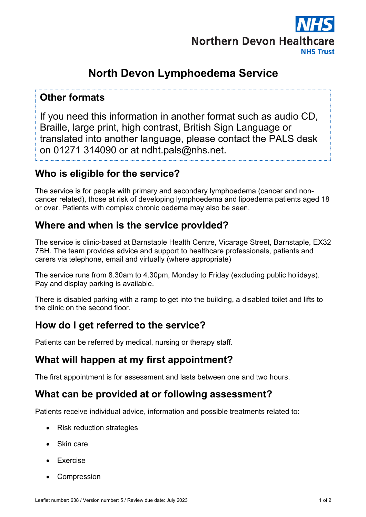

# **North Devon Lymphoedema Service**

#### **Other formats**

If you need this information in another format such as audio CD, Braille, large print, high contrast, British Sign Language or translated into another language, please contact the PALS desk on 01271 314090 or at ndht.pals@nhs.net.

#### **Who is eligible for the service?**

The service is for people with primary and secondary lymphoedema (cancer and noncancer related), those at risk of developing lymphoedema and lipoedema patients aged 18 or over. Patients with complex chronic oedema may also be seen.

## **Where and when is the service provided?**

The service is clinic-based at Barnstaple Health Centre, Vicarage Street, Barnstaple, EX32 7BH. The team provides advice and support to healthcare professionals, patients and carers via telephone, email and virtually (where appropriate)

The service runs from 8.30am to 4.30pm, Monday to Friday (excluding public holidays). Pay and display parking is available.

There is disabled parking with a ramp to get into the building, a disabled toilet and lifts to the clinic on the second floor.

## **How do I get referred to the service?**

Patients can be referred by medical, nursing or therapy staff.

#### **What will happen at my first appointment?**

The first appointment is for assessment and lasts between one and two hours.

#### **What can be provided at or following assessment?**

Patients receive individual advice, information and possible treatments related to:

- Risk reduction strategies
- Skin care
- Exercise
- **Compression**